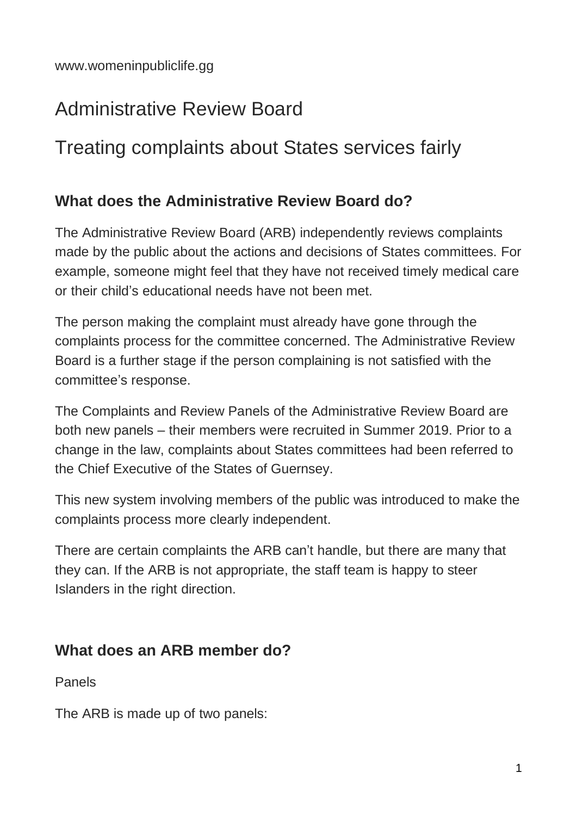# Administrative Review Board

# Treating complaints about States services fairly

### **What does the Administrative Review Board do?**

The Administrative Review Board (ARB) independently reviews complaints made by the public about the actions and decisions of States committees. For example, someone might feel that they have not received timely medical care or their child's educational needs have not been met.

The person making the complaint must already have gone through the complaints process for the committee concerned. The Administrative Review Board is a further stage if the person complaining is not satisfied with the committee's response.

The Complaints and Review Panels of the Administrative Review Board are both new panels – their members were recruited in Summer 2019. Prior to a change in the law, complaints about States committees had been referred to the Chief Executive of the States of Guernsey.

This new system involving members of the public was introduced to make the complaints process more clearly independent.

There are certain complaints the ARB can't handle, but there are many that they can. If the ARB is not appropriate, the staff team is happy to steer Islanders in the right direction.

### **What does an ARB member do?**

Panels

The ARB is made up of two panels: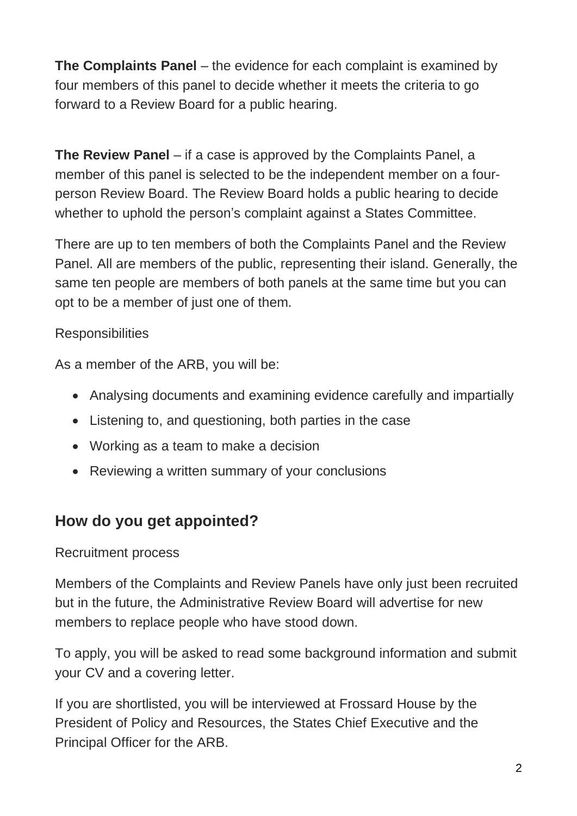**The Complaints Panel** – the evidence for each complaint is examined by four members of this panel to decide whether it meets the criteria to go forward to a Review Board for a public hearing.

**The Review Panel** – if a case is approved by the Complaints Panel, a member of this panel is selected to be the independent member on a fourperson Review Board. The Review Board holds a public hearing to decide whether to uphold the person's complaint against a States Committee.

There are up to ten members of both the Complaints Panel and the Review Panel. All are members of the public, representing their island. Generally, the same ten people are members of both panels at the same time but you can opt to be a member of just one of them.

#### **Responsibilities**

As a member of the ARB, you will be:

- Analysing documents and examining evidence carefully and impartially
- Listening to, and questioning, both parties in the case
- Working as a team to make a decision
- Reviewing a written summary of your conclusions

### **How do you get appointed?**

#### Recruitment process

Members of the Complaints and Review Panels have only just been recruited but in the future, the Administrative Review Board will advertise for new members to replace people who have stood down.

To apply, you will be asked to read some background information and submit your CV and a covering letter.

If you are shortlisted, you will be interviewed at Frossard House by the President of Policy and Resources, the States Chief Executive and the Principal Officer for the ARB.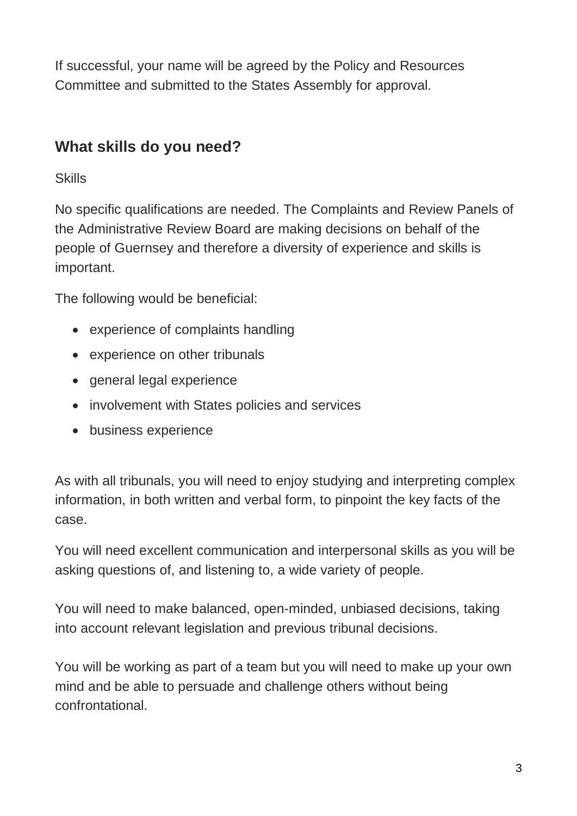If successful, your name will be agreed by the Policy and Resources Committee and submitted to the States Assembly for approval.

### **What skills do you need?**

**Skills** 

No specific qualifications are needed. The Complaints and Review Panels of the Administrative Review Board are making decisions on behalf of the people of Guernsey and therefore a diversity of experience and skills is important.

The following would be beneficial:

- experience of complaints handling
- experience on other tribunals
- general legal experience
- involvement with States policies and services
- business experience

As with all tribunals, you will need to enjoy studying and interpreting complex information, in both written and verbal form, to pinpoint the key facts of the case.

You will need excellent communication and interpersonal skills as you will be asking questions of, and listening to, a wide variety of people.

You will need to make balanced, open-minded, unbiased decisions, taking into account relevant legislation and previous tribunal decisions.

You will be working as part of a team but you will need to make up your own mind and be able to persuade and challenge others without being confrontational.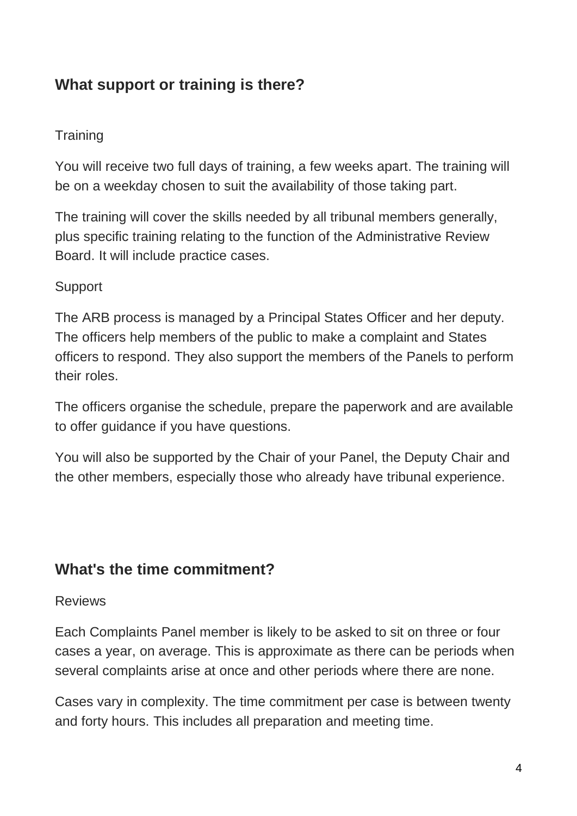## **What support or training is there?**

#### **Training**

You will receive two full days of training, a few weeks apart. The training will be on a weekday chosen to suit the availability of those taking part.

The training will cover the skills needed by all tribunal members generally, plus specific training relating to the function of the Administrative Review Board. It will include practice cases.

#### **Support**

The ARB process is managed by a Principal States Officer and her deputy. The officers help members of the public to make a complaint and States officers to respond. They also support the members of the Panels to perform their roles.

The officers organise the schedule, prepare the paperwork and are available to offer guidance if you have questions.

You will also be supported by the Chair of your Panel, the Deputy Chair and the other members, especially those who already have tribunal experience.

### **What's the time commitment?**

#### Reviews

Each Complaints Panel member is likely to be asked to sit on three or four cases a year, on average. This is approximate as there can be periods when several complaints arise at once and other periods where there are none.

Cases vary in complexity. The time commitment per case is between twenty and forty hours. This includes all preparation and meeting time.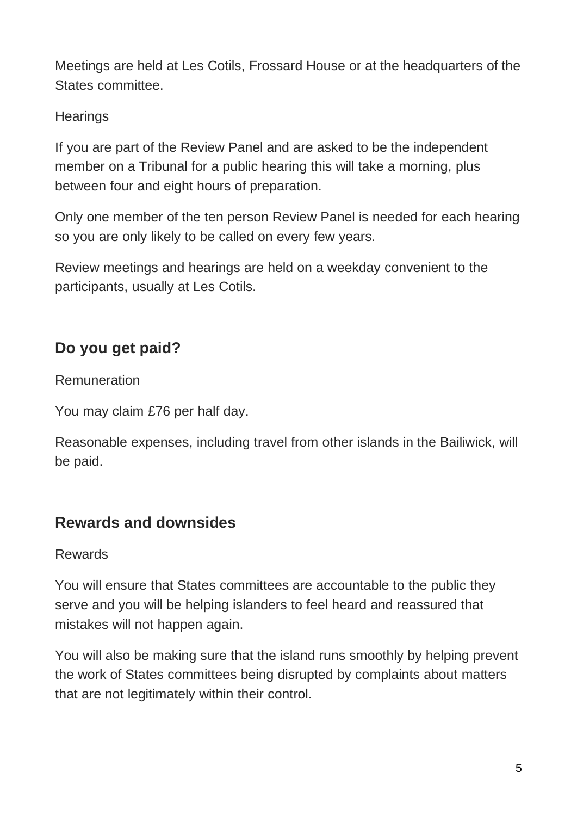Meetings are held at Les Cotils, Frossard House or at the headquarters of the States committee.

**Hearings** 

If you are part of the Review Panel and are asked to be the independent member on a Tribunal for a public hearing this will take a morning, plus between four and eight hours of preparation.

Only one member of the ten person Review Panel is needed for each hearing so you are only likely to be called on every few years.

Review meetings and hearings are held on a weekday convenient to the participants, usually at Les Cotils.

## **Do you get paid?**

Remuneration

You may claim £76 per half day.

Reasonable expenses, including travel from other islands in the Bailiwick, will be paid.

### **Rewards and downsides**

#### Rewards

You will ensure that States committees are accountable to the public they serve and you will be helping islanders to feel heard and reassured that mistakes will not happen again.

You will also be making sure that the island runs smoothly by helping prevent the work of States committees being disrupted by complaints about matters that are not legitimately within their control.